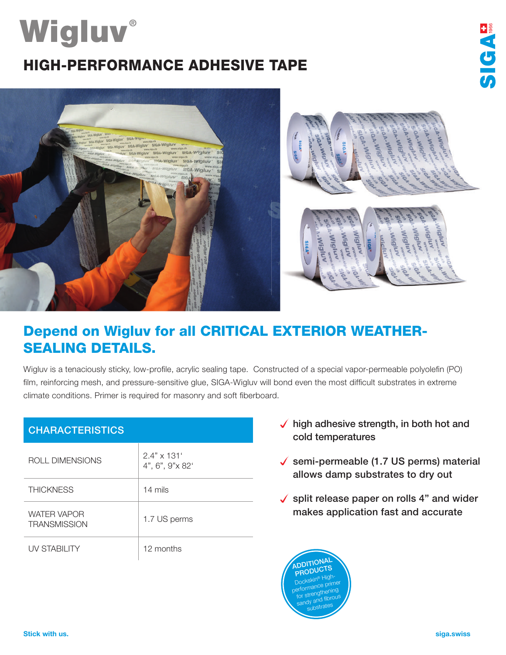# **Wigluv®** HIGH-PERFORMANCE ADHESIVE TAPE





## Depend on Wigluv for all CRITICAL EXTERIOR WEATHER-SEALING DETAILS.

Wigluv is a tenaciously sticky, low-profile, acrylic sealing tape. Constructed of a special vapor-permeable polyolefin (PO) film, reinforcing mesh, and pressure-sensitive glue, SIGA-Wigluv will bond even the most difficult substrates in extreme climate conditions. Primer is required for masonry and soft fiberboard.

| <b>CHARACTERISTICS</b>                    |                                       |
|-------------------------------------------|---------------------------------------|
| ROLL DIMENSIONS                           | $2.4" \times 131'$<br>4", 6", 9"x 82' |
| <b>THICKNESS</b>                          | 14 mils                               |
| <b>WATER VAPOR</b><br><b>TRANSMISSION</b> | 1.7 US perms                          |
| UV STABILITY                              | 12 months                             |

- $\sqrt{\phantom{a}}$  high adhesive strength, in both hot and cold temperatures
- $\checkmark$  semi-permeable (1.7 US perms) material allows damp substrates to dry out
- $\checkmark$  split release paper on rolls 4" and wider makes application fast and accurate